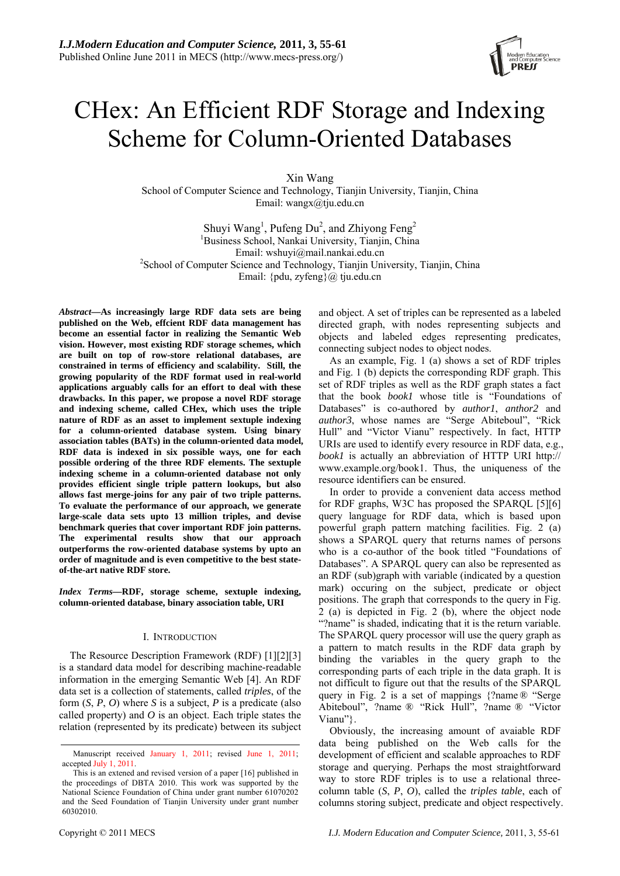

# CHex: An Efficient RDF Storage and Indexing Scheme for Column-Oriented Databases

Xin Wang School of Computer Science and Technology, Tianjin University, Tianjin, China Email: wangx@tju.edu.cn

Shuyi Wang<sup>1</sup>, Pufeng Du<sup>2</sup>, and Zhiyong Feng<sup>2</sup> <sup>1</sup>Business School, Nankai University, Tianjin, China Email: wshuyi@mail.nankai.edu.cn 2 <sup>2</sup>School of Computer Science and Technology, Tianjin University, Tianjin, China Email: {pdu, zyfeng}@ tju.edu.cn

*Abstract***—As increasingly large RDF data sets are being published on the Web, effcient RDF data management has become an essential factor in realizing the Semantic Web vision. However, most existing RDF storage schemes, which are built on top of row-store relational databases, are constrained in terms of efficiency and scalability. Still, the growing popularity of the RDF format used in real-world applications arguably calls for an effort to deal with these drawbacks. In this paper, we propose a novel RDF storage and indexing scheme, called CHex, which uses the triple nature of RDF as an asset to implement sextuple indexing for a column-oriented database system. Using binary association tables (BATs) in the column-oriented data model, RDF data is indexed in six possible ways, one for each possible ordering of the three RDF elements. The sextuple indexing scheme in a column-oriented database not only provides efficient single triple pattern lookups, but also allows fast merge-joins for any pair of two triple patterns. To evaluate the performance of our approach, we generate large-scale data sets upto 13 million triples, and devise benchmark queries that cover important RDF join patterns. The experimental results show that our approach outperforms the row-oriented database systems by upto an order of magnitude and is even competitive to the best stateof-the-art native RDF store.** 

*Index Terms***—RDF, storage scheme, sextuple indexing, column-oriented database, binary association table, URI** 

# I. INTRODUCTION

The Resource Description Framework (RDF) [1][2][3] is a standard data model for describing machine-readable information in the emerging Semantic Web [4]. An RDF data set is a collection of statements, called *triples*, of the form (*S*, *P*, *O*) where *S* is a subject, *P* is a predicate (also called property) and *O* is an object. Each triple states the relation (represented by its predicate) between its subject and object. A set of triples can be represented as a labeled directed graph, with nodes representing subjects and objects and labeled edges representing predicates, connecting subject nodes to object nodes.

As an example, Fig. 1 (a) shows a set of RDF triples and Fig. 1 (b) depicts the corresponding RDF graph. This set of RDF triples as well as the RDF graph states a fact that the book *book1* whose title is "Foundations of Databases" is co-authored by *author1*, *anthor2* and *author3*, whose names are "Serge Abiteboul", "Rick Hull" and "Victor Vianu" respectively. In fact, HTTP URIs are used to identify every resource in RDF data, e.g., *book1* is actually an abbreviation of HTTP URI http:// www.example.org/book1. Thus, the uniqueness of the resource identifiers can be ensured.

In order to provide a convenient data access method for RDF graphs, W3C has proposed the SPARQL [5][6] query language for RDF data, which is based upon powerful graph pattern matching facilities. Fig. 2 (a) shows a SPARQL query that returns names of persons who is a co-author of the book titled "Foundations of Databases". A SPARQL query can also be represented as an RDF (sub)graph with variable (indicated by a question mark) occuring on the subject, predicate or object positions. The graph that corresponds to the query in Fig. 2 (a) is depicted in Fig. 2 (b), where the object node "?name" is shaded, indicating that it is the return variable. The SPARQL query processor will use the query graph as a pattern to match results in the RDF data graph by binding the variables in the query graph to the corresponding parts of each triple in the data graph. It is not difficult to figure out that the results of the SPARQL query in Fig. 2 is a set of mappings {?name ® "Serge Abiteboul", ?name ® "Rick Hull", ?name ® "Victor Vianu"}.

Obviously, the increasing amount of avaiable RDF data being published on the Web calls for the development of efficient and scalable approaches to RDF storage and querying. Perhaps the most straightforward way to store RDF triples is to use a relational threecolumn table (*S*, *P*, *O*), called the *triples table*, each of columns storing subject, predicate and object respectively.

Manuscript received January 1, 2011; revised June 1, 2011; accepted July 1, 2011.

This is an extened and revised version of a paper [16] published in the proceedings of DBTA 2010. This work was supported by the National Science Foundation of China under grant number 61070202 and the Seed Foundation of Tianjin University under grant number 60302010.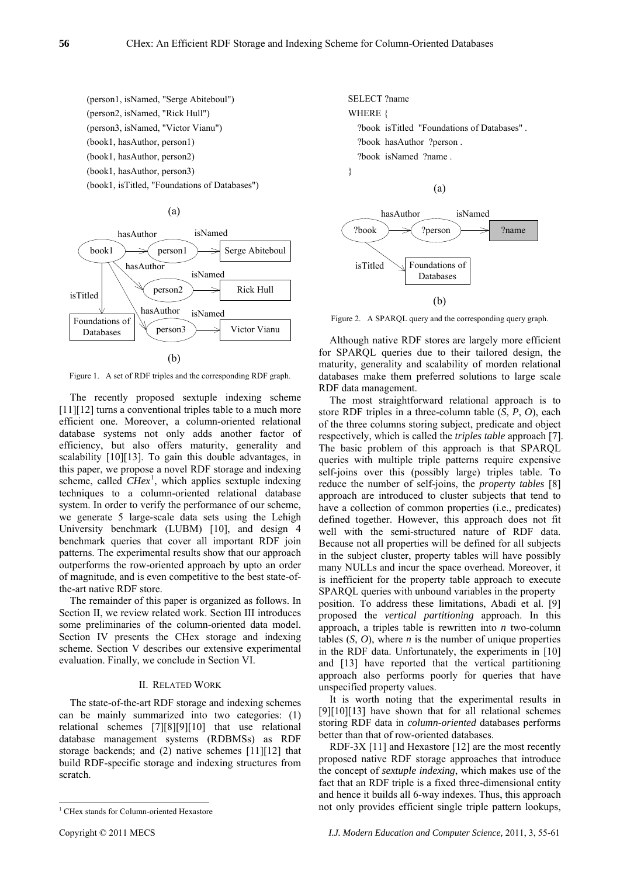(person1, isNamed, "Serge Abiteboul") (person2, isNamed, "Rick Hull") (person3, isNamed, "Victor Vianu") (book1, hasAuthor, person1) (book1, hasAuthor, person2) (book1, hasAuthor, person3) (book1, isTitled, "Foundations of Databases")





Figure 1. A set of RDF triples and the corresponding RDF graph.

The recently proposed sextuple indexing scheme [11][12] turns a conventional triples table to a much more efficient one. Moreover, a column-oriented relational database systems not only adds another factor of efficiency, but also offers maturity, generality and scalability [10][13]. To gain this double advantages, in this paper, we propose a novel RDF storage and indexing scheme, called  $CHex<sup>1</sup>$ , which applies sextuple indexing techniques to a column-oriented relational database system. In order to verify the performance of our scheme, we generate 5 large-scale data sets using the Lehigh University benchmark (LUBM) [10], and design 4 benchmark queries that cover all important RDF join patterns. The experimental results show that our approach outperforms the row-oriented approach by upto an order of magnitude, and is even competitive to the best state-ofthe-art native RDF store.

The remainder of this paper is organized as follows. In Section II, we review related work. Section III introduces some preliminaries of the column-oriented data model. Section IV presents the CHex storage and indexing scheme. Section V describes our extensive experimental evaluation. Finally, we conclude in Section VI.

#### II. RELATED WORK

The state-of-the-art RDF storage and indexing schemes can be mainly summarized into two categories: (1) relational schemes [7][8][9][10] that use relational database management systems (RDBMSs) as RDF storage backends; and (2) native schemes [11][12] that build RDF-specific storage and indexing structures from scratch.

SELECT ?name WHERE { ?book isTitled "Foundations of Databases" . ?book hasAuthor ?person . ?book isNamed ?name . }

(a)



Figure 2. A SPARQL query and the corresponding query graph.

Although native RDF stores are largely more efficient for SPARQL queries due to their tailored design, the maturity, generality and scalability of morden relational databases make them preferred solutions to large scale RDF data management.

The most straightforward relational approach is to store RDF triples in a three-column table (*S*, *P*, *O*), each of the three columns storing subject, predicate and object respectively, which is called the *triples table* approach [7]. The basic problem of this approach is that SPARQL queries with multiple triple patterns require expensive self-joins over this (possibly large) triples table. To reduce the number of self-joins, the *property tables* [8] approach are introduced to cluster subjects that tend to have a collection of common properties *(i.e., predicates)* defined together. However, this approach does not fit well with the semi-structured nature of RDF data. Because not all properties will be defined for all subjects in the subject cluster, property tables will have possibly many NULLs and incur the space overhead. Moreover, it is inefficient for the property table approach to execute SPARQL queries with unbound variables in the property position. To address these limitations, Abadi et al. [9] proposed the *vertical partitioning* approach. In this

approach, a triples table is rewritten into *n* two-column tables  $(S, O)$ , where *n* is the number of unique properties in the RDF data. Unfortunately, the experiments in [10] and [13] have reported that the vertical partitioning approach also performs poorly for queries that have unspecified property values.

It is worth noting that the experimental results in [9][10][13] have shown that for all relational schemes storing RDF data in *column-oriented* databases performs better than that of row-oriented databases.

RDF-3X [11] and Hexastore [12] are the most recently proposed native RDF storage approaches that introduce the concept of *sextuple indexing*, which makes use of the fact that an RDF triple is a fixed three-dimensional entity and hence it builds all 6-way indexes. Thus, this approach not only provides efficient single triple pattern lookups,

 $\overline{\phantom{a}}$ <sup>1</sup> CHex stands for Column-oriented Hexastore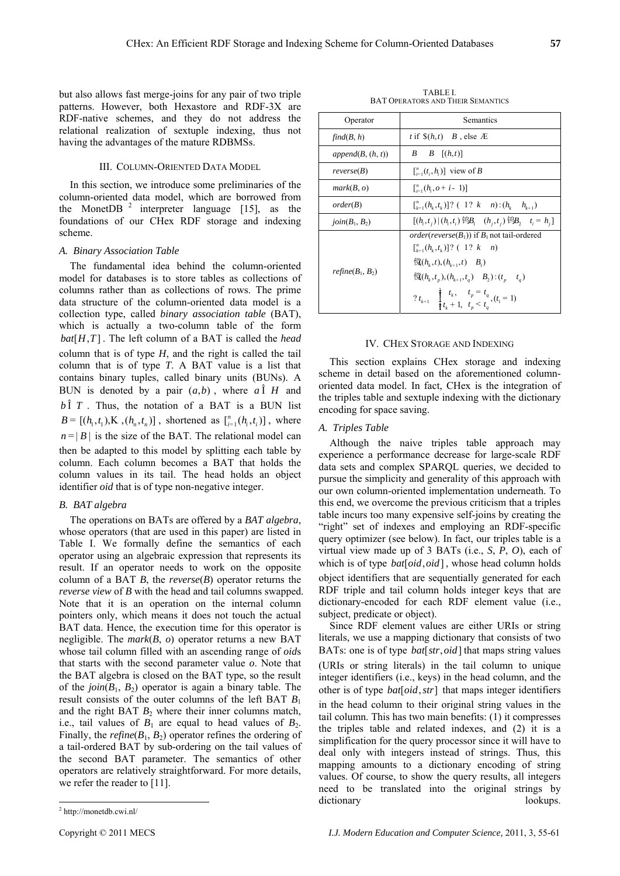but also allows fast merge-joins for any pair of two triple patterns. However, both Hexastore and RDF-3X are RDF-native schemes, and they do not address the relational realization of sextuple indexing, thus not having the advantages of the mature RDBMSs.

# III. COLUMN-ORIENTED DATA MODEL

In this section, we introduce some preliminaries of the column-oriented data model, which are borrowed from the MonetDB  $2$  interpreter language [15], as the foundations of our CHex RDF storage and indexing scheme.

## *A. Binary Association Table*

The fundamental idea behind the column-oriented model for databases is to store tables as collections of columns rather than as collections of rows. The prime data structure of the column-oriented data model is a collection type, called *binary association table* (BAT), which is actually a two-column table of the form  $bat[H,T]$ . The left column of a BAT is called the *head* column that is of type *H*, and the right is called the tail column that is of type *T*. A BAT value is a list that contains binary tuples, called binary units (BUNs). A BUN is denoted by a pair  $(a,b)$ , where  $a\hat{1}$  H and  $b \hat{I}$  *T*. Thus, the notation of a BAT is a BUN list  $B = [(h_1, t_1), K, (h_n, t_n)]$ , shortened as  $\binom{n}{i-1}(h_i, t_i)]$ , where  $n = |B|$  is the size of the BAT. The relational model can then be adapted to this model by splitting each table by column. Each column becomes a BAT that holds the column values in its tail. The head holds an object identifier *oid* that is of type non-negative integer.

# *B. BAT algebra*

The operations on BATs are offered by a *BAT algebra*, whose operators (that are used in this paper) are listed in Table I. We formally define the semantics of each operator using an algebraic expression that represents its result. If an operator needs to work on the opposite column of a BAT *B*, the *reverse*(*B*) operator returns the *reverse view* of *B* with the head and tail columns swapped. Note that it is an operation on the internal column pointers only, which means it does not touch the actual BAT data. Hence, the execution time for this operator is negligible. The *mark*(*B*, *o*) operator returns a new BAT whose tail column filled with an ascending range of *oid*s that starts with the second parameter value *o*. Note that the BAT algebra is closed on the BAT type, so the result of the  $\text{join}(B_1, B_2)$  operator is again a binary table. The result consists of the outer columns of the left BAT *B*<sup>1</sup> and the right BAT  $B_2$  where their inner columns match, i.e., tail values of  $B_1$  are equal to head values of  $B_2$ . Finally, the *refine*( $B_1$ ,  $B_2$ ) operator refines the ordering of a tail-ordered BAT by sub-ordering on the tail values of the second BAT parameter. The semantics of other operators are relatively straightforward. For more details, we refer the reader to [11].

 $\overline{\phantom{a}}$ 

| Operator             | Semantics                                                                                                                                                                                                                                                                                                                                                             |  |  |  |
|----------------------|-----------------------------------------------------------------------------------------------------------------------------------------------------------------------------------------------------------------------------------------------------------------------------------------------------------------------------------------------------------------------|--|--|--|
| find(B, h)           | t if $\$(h,t)$ $B$ , else $AE$                                                                                                                                                                                                                                                                                                                                        |  |  |  |
| append $(B, (h, t))$ | $B \quad B \quad [(h,t)]$                                                                                                                                                                                                                                                                                                                                             |  |  |  |
| reverse(B)           | $\begin{bmatrix} \binom{n}{i-1} & (t_i, h_i) \end{bmatrix}$ view of B                                                                                                                                                                                                                                                                                                 |  |  |  |
| mark(B, o)           | $\binom{n}{i} (h_i, o + i - 1)$                                                                                                                                                                                                                                                                                                                                       |  |  |  |
| order(B)             | $\binom{n}{k-1}(h_{k},t_{k})$ ? (1? k n): $(h_{k} \thinspace h_{k+1})$                                                                                                                                                                                                                                                                                                |  |  |  |
| $join(B_1, B_2)$     | $[(h_i,t_i) (h_i,t_i)$ $\oplus B_1$ $(h_i,t_i)$ $\oplus B_2$ $t_i = h_i]$                                                                                                                                                                                                                                                                                             |  |  |  |
| $refine(B_1, B_2)$   | <i>order</i> ( <i>reverse</i> ( $B_1$ )) if $B_1$ not tail-ordered<br>$\binom{n}{k-1}(h_k,t_k)$ ? (1? k n)<br>$\langle \hat{\mathbf{g}}(h_{i},t), (h_{i+1},t) \mid B_{i} \rangle$<br>$\langle \hat{n} (h_k, t_p), (h_{k+1}, t_q) \quad B_2 \rangle : (t_p \quad t_q)$<br>$? t_{k+1}$ $\begin{cases} t_k, & t_p = t_q \\ t_{k+1} & t \leq t \end{cases}$ , $(t_1 = 1)$ |  |  |  |

#### IV. CHEX STORAGE AND INDEXING

This section explains CHex storage and indexing scheme in detail based on the aforementioned columnoriented data model. In fact, CHex is the integration of the triples table and sextuple indexing with the dictionary encoding for space saving.

## *A. Triples Table*

Although the naive triples table approach may experience a performance decrease for large-scale RDF data sets and complex SPARQL queries, we decided to pursue the simplicity and generality of this approach with our own column-oriented implementation underneath. To this end, we overcome the previous criticism that a triples table incurs too many expensive self-joins by creating the "right" set of indexes and employing an RDF-specific query optimizer (see below). In fact, our triples table is a virtual view made up of 3 BATs (i.e., *S*, *P*, *O*), each of which is of type *bat* [*oid*, *oid*], whose head column holds object identifiers that are sequentially generated for each RDF triple and tail column holds integer keys that are dictionary-encoded for each RDF element value (i.e., subject, predicate or object).

Since RDF element values are either URIs or string literals, we use a mapping dictionary that consists of two BATs: one is of type  $bat[str, oid]$  that maps string values (URIs or string literals) in the tail column to unique integer identifiers (i.e., keys) in the head column, and the other is of type  $bat[oid, str]$  that maps integer identifiers in the head column to their original string values in the tail column. This has two main benefits: (1) it compresses the triples table and related indexes, and (2) it is a simplification for the query processor since it will have to deal only with integers instead of strings. Thus, this mapping amounts to a dictionary encoding of string values. Of course, to show the query results, all integers need to be translated into the original strings by dictionary lookups.

<sup>2</sup> http://monetdb.cwi.nl/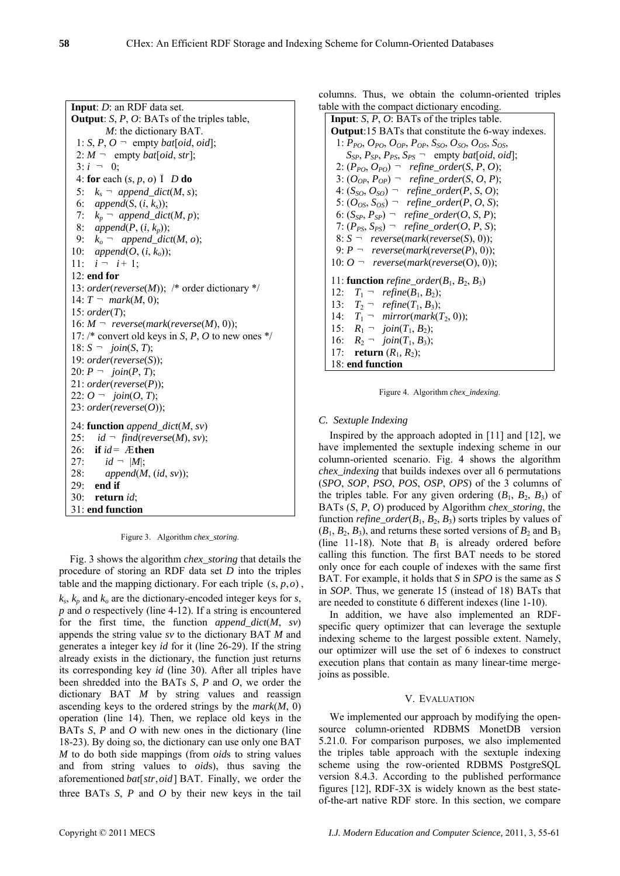**Input**: *D*: an RDF data set. **Output**: *S*, *P*, *O*: BATs of the triples table, *M*: the dictionary BAT. 1: *S*, *P*,  $O = \text{empty } bad[oid,oid]$ ;  $2: M$   $\neg$  empty *bat*[*oid*, *str*];  $3: i = 0$ : 4: **for** each (*s*, *p*, *o*) Î *D* **do** 5:  $k_s$   $\lnot$  *append\_dict*(*M*, *s*); 6: *append*(*S*, (*i*, *ks*)); 7:  $k_p$   $\lnot$  *append\_dict*(*M*, *p*); 8: *append*(*P*, (*i*, *kp*)); 9:  $k_o$   $\lnot$  *append\_dict*(*M*, *o*); 10: *append*(*O*, (*i*, *ko*)); 11:  $i - i + 1$ ; 12: **end for** 13: *order*(*reverse*(*M*)); /\* order dictionary \*/ 14:  $T = mark(M, 0);$ 15: *order*(*T*);  $16: M - \text{reverse}(\text{mark}(\text{reverse}(M), 0));$ 17: /\* convert old keys in *S*, *P*, *O* to new ones \*/  $18: S - 0$  *join*(*S*, *T*); 19: *order*(*reverse*(*S*)); 20:  $P - join(P, T)$ ; 21: *order*(*reverse*(*P*));  $22: O = join(O, T);$ 23: *order*(*reverse*(*O*)); 24: **function** *append\_dict*(*M*, *sv*) 25:  $id \neg find(reverse(M), sv);$ 26: **if** *id*= Æ**then** 27:  $id - |M|$ ; 28: *append*(*M*, (*id*, *sv*)); 29: **end if** 30: **return** *id*; 31: **end function**

Figure 3. Algorithm *chex\_storing*.

Fig. 3 shows the algorithm *chex\_storing* that details the procedure of storing an RDF data set *D* into the triples table and the mapping dictionary. For each triple  $(s, p, o)$ ,  $k_s$ ,  $k_p$  and  $k_q$  are the dictionary-encoded integer keys for *s*, *p* and *o* respectively (line 4-12). If a string is encountered for the first time, the function *append\_dict*(*M*, *sv*) appends the string value *sv* to the dictionary BAT *M* and generates a integer key *id* for it (line 26-29). If the string already exists in the dictionary, the function just returns its corresponding key *id* (line 30). After all triples have been shredded into the BATs *S*, *P* and *O*, we order the dictionary BAT *M* by string values and reassign ascending keys to the ordered strings by the *mark*(*M*, 0) operation (line 14). Then, we replace old keys in the BATs *S*, *P* and *O* with new ones in the dictionary (line 18-23). By doing so, the dictionary can use only one BAT *M* to do both side mappings (from *oid*s to string values and from string values to *oid*s), thus saving the aforementioned *bat* [str, oid] BAT. Finally, we order the three BATs *S*, *P* and *O* by their new keys in the tail

columns. Thus, we obtain the column-oriented triples table with the compact dictionary encoding.

```
Input: S, P, O: BATs of the triples table. 
Output:15 BATs that constitute the 6-way indexes.
 1: PPO, OPO, OOP, POP, SSO, OSO, OOS, SOS, 
    S_{SP}, P_{SP}, P_{PS}, S_{PS} \lnot empty bat[oid, oid];
 2: (P_{PO}, O_{PO}) \neg refine_order(S, P, O);
 3: (O_{OP}, P_{OP}) \lnot refine_order(S, O, P);
 4: (S_{SO}, O_{SO}) \neg refine_order(P, S, O);
 5: (O_{OS}, S_{OS}) – refine_order(P, O, S);
 6: (S_{SP}, P_{SP}) \neg refine_order(O, S, P);
 7: (P_{PS}, S_{PS}) \neg refine_order(O, P, S);
 8: S \neg reverse(mark(reverse(S), 0));
 9: P - \text{reverse}(\text{mark}(\text{reverse}(P), 0));
10: O ¬ reverse(mark(reverse(O), 0)); 
11: function refine_order(B_1, B_2, B_3)
12: T_1 – refine(B_1, B_2);
13: T_2 \lnot refine(T_1, B_3);
14: T_1 \neg mirror(mark(T_2, 0));
15: R_1 - \text{join}(T_1, B_2);
16: R_2 - \text{join}(T_1, B_3);
17: return (R_1, R_2);
18: end function
```
Figure 4. Algorithm *chex\_indexing*.

# *C. Sextuple Indexing*

Inspired by the approach adopted in [11] and [12], we have implemented the sextuple indexing scheme in our column-oriented scenario. Fig. 4 shows the algorithm *chex\_indexing* that builds indexes over all 6 permutations (*SPO*, *SOP*, *PSO*, *POS*, *OSP*, *OPS*) of the 3 columns of the triples table. For any given ordering  $(B_1, B_2, B_3)$  of BATs (*S*, *P*, *O*) produced by Algorithm *chex\_storing*, the function *refine* order $(B_1, B_2, B_3)$  sorts triples by values of  $(B_1, B_2, B_3)$ , and returns these sorted versions of  $B_2$  and  $B_3$ (line 11-18). Note that  $B_1$  is already ordered before calling this function. The first BAT needs to be stored only once for each couple of indexes with the same first BAT. For example, it holds that *S* in *SPO* is the same as *S* in *SOP*. Thus, we generate 15 (instead of 18) BATs that are needed to constitute 6 different indexes (line 1-10).

In addition, we have also implemented an RDFspecific query optimizer that can leverage the sextuple indexing scheme to the largest possible extent. Namely, our optimizer will use the set of 6 indexes to construct execution plans that contain as many linear-time mergejoins as possible.

# V. EVALUATION

We implemented our approach by modifying the opensource column-oriented RDBMS MonetDB version 5.21.0. For comparison purposes, we also implemented the triples table approach with the sextuple indexing scheme using the row-oriented RDBMS PostgreSQL version 8.4.3. According to the published performance figures [12], RDF-3X is widely known as the best stateof-the-art native RDF store. In this section, we compare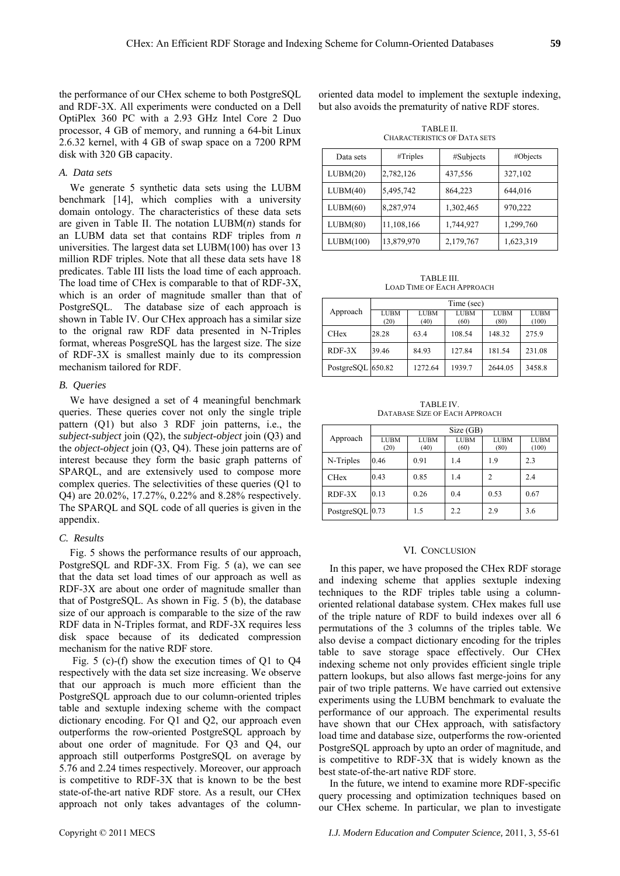the performance of our CHex scheme to both PostgreSQL and RDF-3X. All experiments were conducted on a Dell OptiPlex 360 PC with a 2.93 GHz Intel Core 2 Duo processor, 4 GB of memory, and running a 64-bit Linux 2.6.32 kernel, with 4 GB of swap space on a 7200 RPM disk with 320 GB capacity.

#### *A. Data sets*

We generate 5 synthetic data sets using the LUBM benchmark [14], which complies with a university domain ontology. The characteristics of these data sets are given in Table II. The notation LUBM(*n*) stands for an LUBM data set that contains RDF triples from *n* universities. The largest data set LUBM(100) has over 13 million RDF triples. Note that all these data sets have 18 predicates. Table III lists the load time of each approach. The load time of CHex is comparable to that of RDF-3X, which is an order of magnitude smaller than that of PostgreSQL. The database size of each approach is shown in Table IV. Our CHex approach has a similar size to the orignal raw RDF data presented in N-Triples format, whereas PosgreSQL has the largest size. The size of RDF-3X is smallest mainly due to its compression mechanism tailored for RDF.

## *B. Queries*

We have designed a set of 4 meaningful benchmark queries. These queries cover not only the single triple pattern (Q1) but also 3 RDF join patterns, i.e., the *subject*-*subject* join (Q2), the *subject*-*object* join (Q3) and the *object*-*object* join (Q3, Q4). These join patterns are of interest because they form the basic graph patterns of SPARQL, and are extensively used to compose more complex queries. The selectivities of these queries (Q1 to Q4) are 20.02%, 17.27%, 0.22% and 8.28% respectively. The SPARQL and SQL code of all queries is given in the appendix.

#### *C. Results*

Fig. 5 shows the performance results of our approach, PostgreSQL and RDF-3X. From Fig. 5 (a), we can see that the data set load times of our approach as well as RDF-3X are about one order of magnitude smaller than that of PostgreSQL. As shown in Fig. 5 (b), the database size of our approach is comparable to the size of the raw RDF data in N-Triples format, and RDF-3X requires less disk space because of its dedicated compression mechanism for the native RDF store.

 Fig. 5 (c)-(f) show the execution times of Q1 to Q4 respectively with the data set size increasing. We observe that our approach is much more efficient than the PostgreSQL approach due to our column-oriented triples table and sextuple indexing scheme with the compact dictionary encoding. For Q1 and Q2, our approach even outperforms the row-oriented PostgreSQL approach by about one order of magnitude. For Q3 and Q4, our approach still outperforms PostgreSQL on average by 5.76 and 2.24 times respectively. Moreover, our approach is competitive to RDF-3X that is known to be the best state-of-the-art native RDF store. As a result, our CHex approach not only takes advantages of the columnoriented data model to implement the sextuple indexing, but also avoids the prematurity of native RDF stores.

TABLE II. CHARACTERISTICS OF DATA SETS

| Data sets | #Triples   | #Subjects | #Objects  |
|-----------|------------|-----------|-----------|
| LUBM(20)  | 2,782,126  | 437,556   | 327,102   |
| LUBM(40)  | 5,495,742  | 864,223   | 644,016   |
| LUBM(60)  | 8,287,974  | 1,302,465 | 970,222   |
| LUBM(80)  | 11,108,166 | 1,744,927 | 1,299,760 |
| LUBM(100) | 13,879,970 | 2,179,767 | 1,623,319 |

TABLE III. LOAD TIME OF EACH APPROACH

|                   | Time (sec)          |                     |                     |                     |                      |
|-------------------|---------------------|---------------------|---------------------|---------------------|----------------------|
| Approach          | <b>LUBM</b><br>(20) | <b>LUBM</b><br>(40) | <b>LUBM</b><br>(60) | <b>LUBM</b><br>(80) | <b>LUBM</b><br>(100) |
| <b>CHex</b>       | 28.28               | 63.4                | 108.54              | 148.32              | 275.9                |
| $RDF-3X$          | 39.46               | 84.93               | 127.84              | 181.54              | 231.08               |
| PostgreSQL 650.82 |                     | 1272.64             | 1939.7              | 2644.05             | 3458.8               |

TABLE IV. DATABASE SIZE OF EACH APPROACH

|                 | Size (GB)           |                     |                     |                     |                      |
|-----------------|---------------------|---------------------|---------------------|---------------------|----------------------|
| Approach        | <b>LUBM</b><br>(20) | <b>LUBM</b><br>(40) | <b>LUBM</b><br>(60) | <b>LUBM</b><br>(80) | <b>LUBM</b><br>(100) |
| N-Triples       | 0.46                | 0.91                | 1.4                 | 1.9                 | 2.3                  |
| <b>CHex</b>     | 0.43                | 0.85                | 1.4                 | 2                   | 2.4                  |
| $RDF-3X$        | 0.13                | 0.26                | 0.4                 | 0.53                | 0.67                 |
| PostgreSQL 0.73 |                     | 1.5                 | 2.2                 | 2.9                 | 3.6                  |

#### VI. CONCLUSION

In this paper, we have proposed the CHex RDF storage and indexing scheme that applies sextuple indexing techniques to the RDF triples table using a columnoriented relational database system. CHex makes full use of the triple nature of RDF to build indexes over all 6 permutations of the 3 columns of the triples table. We also devise a compact dictionary encoding for the triples table to save storage space effectively. Our CHex indexing scheme not only provides efficient single triple pattern lookups, but also allows fast merge-joins for any pair of two triple patterns. We have carried out extensive experiments using the LUBM benchmark to evaluate the performance of our approach. The experimental results have shown that our CHex approach, with satisfactory load time and database size, outperforms the row-oriented PostgreSQL approach by upto an order of magnitude, and is competitive to RDF-3X that is widely known as the best state-of-the-art native RDF store.

In the future, we intend to examine more RDF-specific query processing and optimization techniques based on our CHex scheme. In particular, we plan to investigate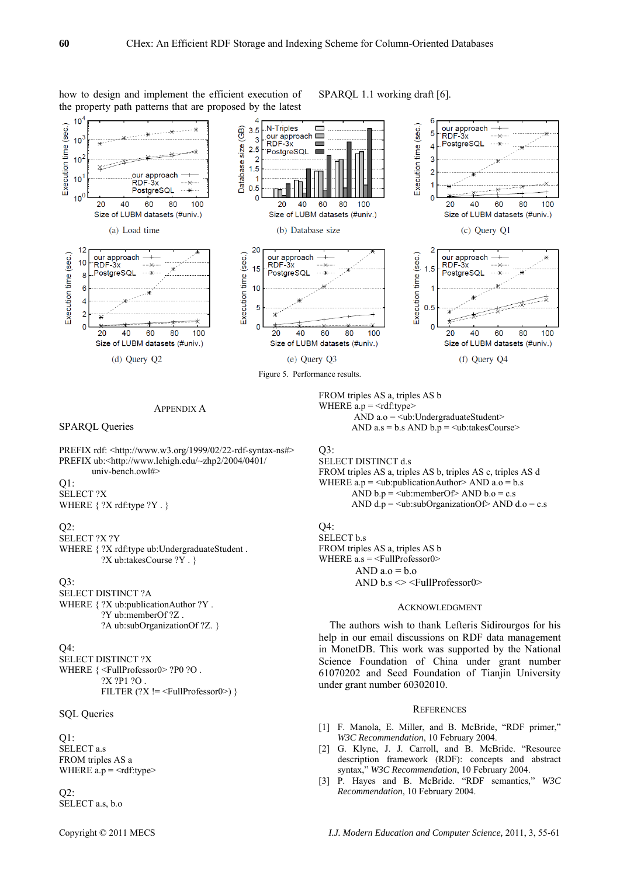

# how to design and implement the efficient execution of the property path patterns that are proposed by the latest

APPENDIX A

SPARQL Queries

PREFIX rdf: <http://www.w3.org/1999/02/22-rdf-syntax-ns#> PREFIX ub:<http://www.lehigh.edu/~zhp2/2004/0401/ univ-bench.owl#>

Q1:

SELECT ?X WHERE  $\{$  ?X rdf:type ?Y . }

#### $Q2$ :

SELECT ?X ?Y

WHERE  $\{$  ?X rdf:type ub:UndergraduateStudent. ?X ub:takesCourse ?Y . }

#### $O3:$

SELECT DISTINCT ?A WHERE  $\{$  ?X ub:publicationAuthor ?Y . ?Y ub:memberOf ?Z . ?A ub:subOrganizationOf ?Z. }

#### $O<sup>4</sup>$

SELECT DISTINCT ?X WHERE  $\{\leq$ FullProfessor0> ?P0 ?O. ?X ?P1 ?O . FILTER  $(?X != \leq$ FullProfessor0>) }

## SOL Queries

# Q1:

SELECT<sub>as</sub> FROM triples AS a WHERE  $a.p = \langle rdf : type \rangle$ 

 $Q2$ : SELECT a.s, b.o FROM triples AS a, triples AS b WHERE  $a.p = \langle rdf:type \rangle$ AND  $a.o = \leq ub$ : UndergraduateStudent> AND  $a.s = b.s$  AND  $b.p = \leq ub$ : takes Course>

 $O3:$ 

SELECT DISTINCT d.s FROM triples AS a, triples AS b, triples AS c, triples AS d WHERE  $a.p =$ <ub:publicationAuthor> AND  $a.o = b.s$ AND  $b.p = \text{<}ub\text{:}memberOf\text{:} AND b.o = c.s$ AND  $d.p = \text{Sub.subOrganizationOf} > \text{AND } d.o = c.s$ 

# Q4:

SELECT b.s FROM triples AS a, triples AS b WHERE a.s = <FullProfessor0> AND  $a.o = b.o$ AND  $b.s \leq \text{FullProfessor}$ 

# ACKNOWLEDGMENT

The authors wish to thank Lefteris Sidirourgos for his help in our email discussions on RDF data management in MonetDB. This work was supported by the National Science Foundation of China under grant number 61070202 and Seed Foundation of Tianjin University under grant number 60302010.

#### **REFERENCES**

- [1] F. Manola, E. Miller, and B. McBride, "RDF primer," *W3C Recommendation*, 10 February 2004.
- [2] G. Klyne, J. J. Carroll, and B. McBride. "Resource description framework (RDF): concepts and abstract syntax," *W3C Recommendation*, 10 February 2004.
- [3] P. Hayes and B. McBride. "RDF semantics," *W3C Recommendation*, 10 February 2004.

SPARQL 1.1 working draft [6].